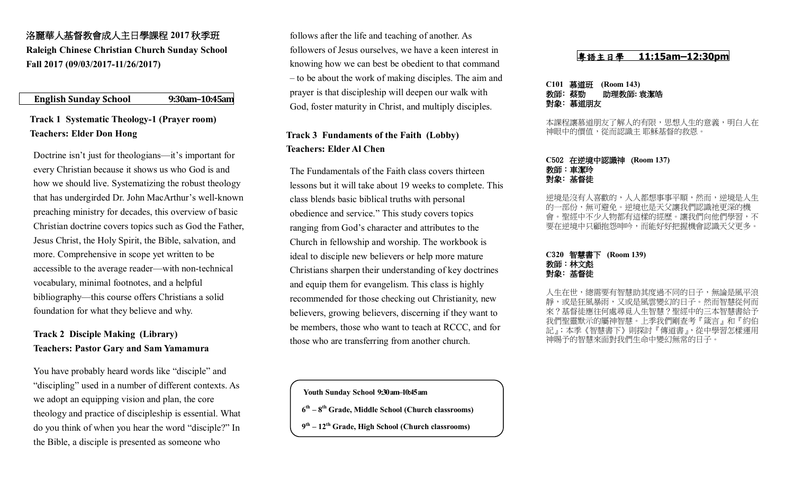# 洛麗華人基督教會成人主日學課程 **2017** 秋季班 **Raleigh Chinese Christian Church Sunday School Fall 2017 (09/03/2017-11/26/2017)**

## **English Sunday School 9:30am–10:45am**

# **Track 1 Systematic Theology-1 (Prayer room) Teachers: Elder Don Hong**

Doctrine isn't just for theologians—it's important for every Christian because it shows us who God is and how we should live. Systematizing the robust theology that has undergirded Dr. John MacArthur's well-known preaching ministry for decades, this overview of basic Christian doctrine covers topics such as God the Father, Jesus Christ, the Holy Spirit, the Bible, salvation, and more. Comprehensive in scope yet written to be accessible to the average reader—with non-technical vocabulary, minimal footnotes, and a helpful bibliography—this course offers Christians a solid foundation for what they believe and why.

# **Track 2 Disciple Making (Library) Teachers: Pastor Gary and Sam Yamamura**

You have probably heard words like "disciple" and "discipling" used in a number of different contexts. As we adopt an equipping vision and plan, the core theology and practice of discipleship is essential. What do you think of when you hear the word "disciple?" In the Bible, a disciple is presented as someone who

follows after the life and teaching of another. As followers of Jesus ourselves, we have a keen interest in knowing how we can best be obedient to that command – to be about the work of making disciples. The aim and prayer is that discipleship will deepen our walk with God, foster maturity in Christ, and multiply disciples.

# **Track 3 Fundaments of the Faith (Lobby) Teachers: Elder Al Chen**

The Fundamentals of the Faith class covers thirteen lessons but it will take about 19 weeks to complete. This class blends basic biblical truths with personal obedience and service." This study covers topics ranging from God's character and attributes to the Church in fellowship and worship. The workbook is ideal to disciple new believers or help more mature Christians sharpen their understanding of key doctrines and equip them for evangelism. This class is highly recommended for those checking out Christianity, new believers, growing believers, discerning if they want to be members, those who want to teach at RCCC, and for those who are transferring from another church.

 **Youth Sunday School 9:30am–10:45am**

- **6 th – 8 th Grade, Middle School (Church classrooms)**
- **9 th – 12th Grade, High School (Church classrooms)**

## 粵語主日學 **11:15am–12:30pm**

#### **C101** 慕道班 **(Room 143)** 教師﹕蔡勁 助理教師**:** 袁潔皓 對象﹕慕道朋友

本課程讓慕道朋友了解人的有限,思想人生的意義,明白人在 神眼中的價值,從而認識主 耶穌基督的救恩。

#### **C**502在逆境中認識神 (**Room 137)**  教師:車潔玲 對象﹕基督徒

人喜歡的,人人都想事事平順,然而,逆境是人生 的一部份,無可避免。逆境也是天父讓我們認識祂更深的機 聖經中不少人物都有這樣的經歷。讓我們向他們學習 要在逆境中只顧抱怨呻吟,而能好好把握機會認識天父更多。

### **C**3**20** 智慧書下 **(Room 139)**  教師:林文彪 對象﹕基督徒

人生在世,總需要有智慧助其度過不同的日子,無論是風平浪 又或是風雲變幻的日子。 來?基督徒應往何處尋覓人生智慧?聖經中的三本智慧書給予 我們聖靈默示的屬神智慧。上季我們剛查考『箴言』和『約伯 記』;本季《智慧書下》則探討『傳道書』,從中學習怎樣運用 神賜予的智慧來面對我們生命中變幻無常的日子。